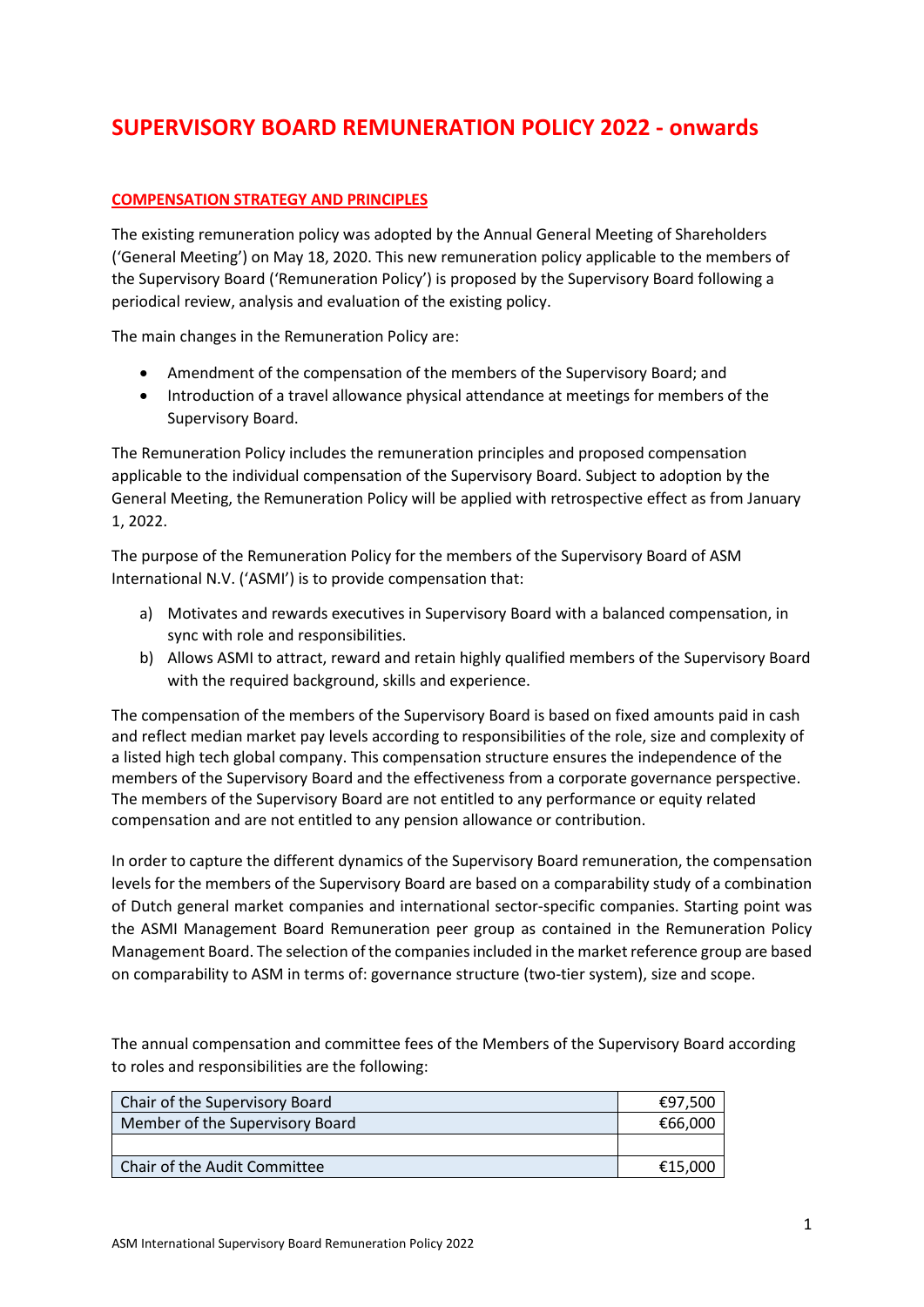## **SUPERVISORY BOARD REMUNERATION POLICY 2022 - onwards**

## **COMPENSATION STRATEGY AND PRINCIPLES**

The existing remuneration policy was adopted by the Annual General Meeting of Shareholders ('General Meeting') on May 18, 2020. This new remuneration policy applicable to the members of the Supervisory Board ('Remuneration Policy') is proposed by the Supervisory Board following a periodical review, analysis and evaluation of the existing policy.

The main changes in the Remuneration Policy are:

- Amendment of the compensation of the members of the Supervisory Board; and
- Introduction of a travel allowance physical attendance at meetings for members of the Supervisory Board.

The Remuneration Policy includes the remuneration principles and proposed compensation applicable to the individual compensation of the Supervisory Board. Subject to adoption by the General Meeting, the Remuneration Policy will be applied with retrospective effect as from January 1, 2022.

The purpose of the Remuneration Policy for the members of the Supervisory Board of ASM International N.V. ('ASMI') is to provide compensation that:

- a) Motivates and rewards executives in Supervisory Board with a balanced compensation, in sync with role and responsibilities.
- b) Allows ASMI to attract, reward and retain highly qualified members of the Supervisory Board with the required background, skills and experience.

The compensation of the members of the Supervisory Board is based on fixed amounts paid in cash and reflect median market pay levels according to responsibilities of the role, size and complexity of a listed high tech global company. This compensation structure ensures the independence of the members of the Supervisory Board and the effectiveness from a corporate governance perspective. The members of the Supervisory Board are not entitled to any performance or equity related compensation and are not entitled to any pension allowance or contribution.

In order to capture the different dynamics of the Supervisory Board remuneration, the compensation levels for the members of the Supervisory Board are based on a comparability study of a combination of Dutch general market companies and international sector-specific companies. Starting point was the ASMI Management Board Remuneration peer group as contained in the Remuneration Policy Management Board. The selection of the companies included in the market reference group are based on comparability to ASM in terms of: governance structure (two-tier system), size and scope.

The annual compensation and committee fees of the Members of the Supervisory Board according to roles and responsibilities are the following:

| Chair of the Supervisory Board  | €97.500 |
|---------------------------------|---------|
| Member of the Supervisory Board | €66.000 |
|                                 |         |
| Chair of the Audit Committee    | €15.000 |